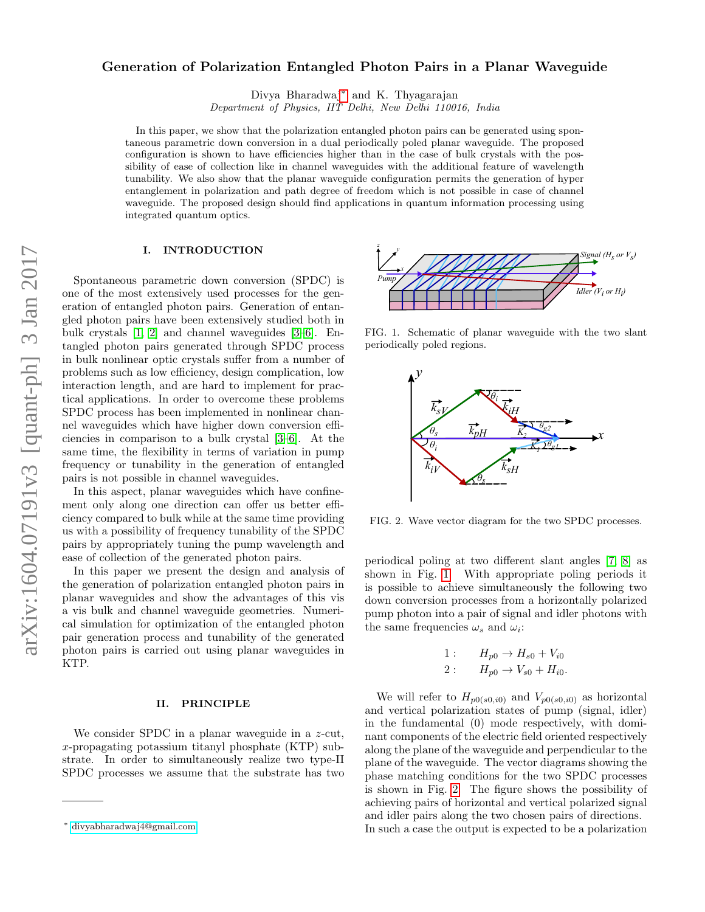# Generation of Polarization Entangled Photon Pairs in a Planar Waveguide

Divya Bharadwaj[∗](#page-0-0) and K. Thyagarajan

Department of Physics, IIT Delhi, New Delhi 110016, India

In this paper, we show that the polarization entangled photon pairs can be generated using spontaneous parametric down conversion in a dual periodically poled planar waveguide. The proposed configuration is shown to have efficiencies higher than in the case of bulk crystals with the possibility of ease of collection like in channel waveguides with the additional feature of wavelength tunability. We also show that the planar waveguide configuration permits the generation of hyper entanglement in polarization and path degree of freedom which is not possible in case of channel waveguide. The proposed design should find applications in quantum information processing using integrated quantum optics.

## I. INTRODUCTION

Spontaneous parametric down conversion (SPDC) is one of the most extensively used processes for the generation of entangled photon pairs. Generation of entangled photon pairs have been extensively studied both in bulk crystals [\[1,](#page-6-0) [2\]](#page-6-1) and channel waveguides [\[3](#page-6-2)[–6\]](#page-6-3). Entangled photon pairs generated through SPDC process in bulk nonlinear optic crystals suffer from a number of problems such as low efficiency, design complication, low interaction length, and are hard to implement for practical applications. In order to overcome these problems SPDC process has been implemented in nonlinear channel waveguides which have higher down conversion efficiencies in comparison to a bulk crystal [\[3–](#page-6-2)[6\]](#page-6-3). At the same time, the flexibility in terms of variation in pump frequency or tunability in the generation of entangled pairs is not possible in channel waveguides.

In this aspect, planar waveguides which have confinement only along one direction can offer us better efficiency compared to bulk while at the same time providing us with a possibility of frequency tunability of the SPDC pairs by appropriately tuning the pump wavelength and ease of collection of the generated photon pairs.

In this paper we present the design and analysis of the generation of polarization entangled photon pairs in planar waveguides and show the advantages of this vis a vis bulk and channel waveguide geometries. Numerical simulation for optimization of the entangled photon pair generation process and tunability of the generated photon pairs is carried out using planar waveguides in KTP.

### II. PRINCIPLE

We consider SPDC in a planar waveguide in a z-cut, x-propagating potassium titanyl phosphate (KTP) substrate. In order to simultaneously realize two type-II SPDC processes we assume that the substrate has two



FIG. 1. Schematic of planar waveguide with the two slant periodically poled regions.

<span id="page-0-1"></span>

<span id="page-0-2"></span>FIG. 2. Wave vector diagram for the two SPDC processes.

periodical poling at two different slant angles [\[7,](#page-6-4) [8\]](#page-6-5) as shown in Fig. [1.](#page-0-1) With appropriate poling periods it is possible to achieve simultaneously the following two down conversion processes from a horizontally polarized pump photon into a pair of signal and idler photons with the same frequencies  $\omega_s$  and  $\omega_i$ :

1: 
$$
H_{p0} \to H_{s0} + V_{i0}
$$
  
2:  $H_{p0} \to V_{s0} + H_{i0}$ .

We will refer to  $H_{p0(s0,i0)}$  and  $V_{p0(s0,i0)}$  as horizontal and vertical polarization states of pump (signal, idler) in the fundamental (0) mode respectively, with dominant components of the electric field oriented respectively along the plane of the waveguide and perpendicular to the plane of the waveguide. The vector diagrams showing the phase matching conditions for the two SPDC processes is shown in Fig. [2.](#page-0-2) The figure shows the possibility of achieving pairs of horizontal and vertical polarized signal and idler pairs along the two chosen pairs of directions. In such a case the output is expected to be a polarization

<span id="page-0-0"></span><sup>∗</sup> [divyabharadwaj4@gmail.com;](mailto:divyabharadwaj4@gmail.com)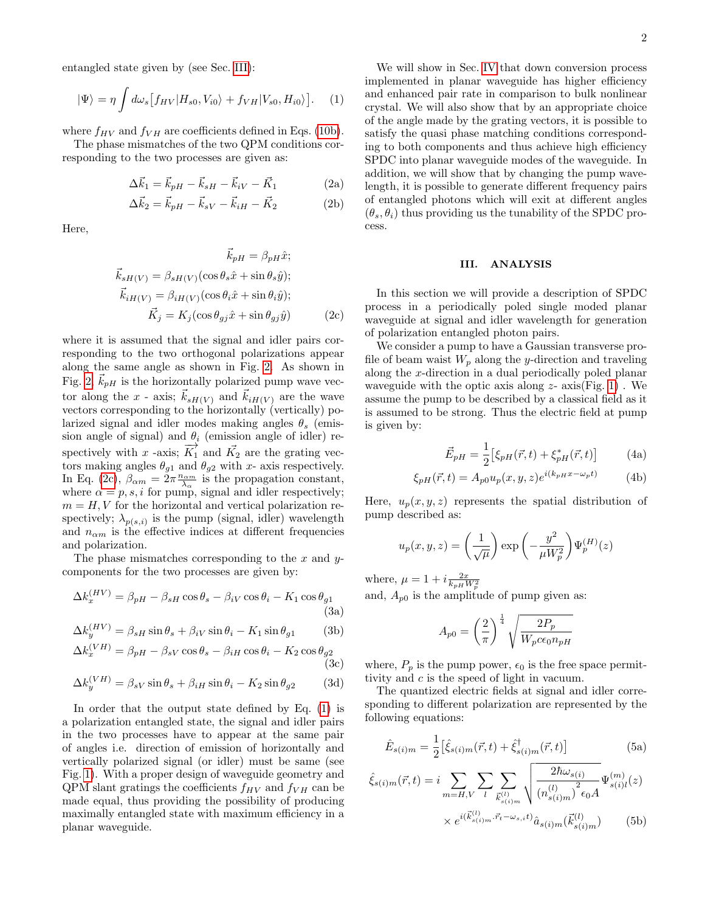entangled state given by (see Sec. [III\)](#page-1-0):

<span id="page-1-2"></span>
$$
|\Psi\rangle = \eta \int d\omega_s \left[ f_{HV} | H_{s0}, V_{i0} \rangle + f_{VH} | V_{s0}, H_{i0} \rangle \right]. \tag{1}
$$

where  $f_{HV}$  and  $f_{VH}$  are coefficients defined in Eqs. [\(10b\)](#page-3-0).

The phase mismatches of the two QPM conditions corresponding to the two processes are given as:

$$
\Delta \vec{k}_1 = \vec{k}_{pH} - \vec{k}_{sH} - \vec{k}_{iV} - \vec{K}_1
$$
 (2a)

$$
\Delta \vec{k}_2 = \vec{k}_{pH} - \vec{k}_{sV} - \vec{k}_{iH} - \vec{K}_2
$$
 (2b)

Here,

$$
\vec{k}_{pH} = \beta_{pH}\hat{x};
$$
\n
$$
\vec{k}_{sH(V)} = \beta_{sH(V)}(\cos\theta_s\hat{x} + \sin\theta_s\hat{y});
$$
\n
$$
\vec{k}_{iH(V)} = \beta_{iH(V)}(\cos\theta_i\hat{x} + \sin\theta_i\hat{y});
$$
\n
$$
\vec{K}_j = K_j(\cos\theta_{gj}\hat{x} + \sin\theta_{gj}\hat{y})
$$
\n(2c)

where it is assumed that the signal and idler pairs corresponding to the two orthogonal polarizations appear along the same angle as shown in Fig. [2.](#page-0-2) As shown in Fig. [2,](#page-0-2)  $k_{pH}$  is the horizontally polarized pump wave vector along the x - axis;  $k_{sH(V)}$  and  $k_{iH(V)}$  are the wave vectors corresponding to the horizontally (vertically) polarized signal and idler modes making angles  $\theta_s$  (emission angle of signal) and  $\theta_i$  (emission angle of idler) respectively with x -axis;  $\overrightarrow{K_1}$  and  $\overrightarrow{K_2}$  are the grating vectors making angles  $\theta_{g1}$  and  $\theta_{g2}$  with x- axis respectively. In Eq. [\(2c\)](#page-1-1),  $\beta_{\alpha m} = 2\pi \frac{n_{\alpha m}}{\lambda_{\alpha}}$  is the propagation constant, where  $\alpha = p, s, i$  for pump, signal and idler respectively;  $m = H, V$  for the horizontal and vertical polarization respectively;  $\lambda_{p(s,i)}$  is the pump (signal, idler) wavelength and  $n_{\alpha m}$  is the effective indices at different frequencies and polarization.

The phase mismatches corresponding to the  $x$  and  $y$ components for the two processes are given by:

$$
\Delta k_x^{(HV)} = \beta_{pH} - \beta_{sH} \cos \theta_s - \beta_{iV} \cos \theta_i - K_1 \cos \theta_{g1}
$$
\n(3a)

$$
\Delta k_y^{(HV)} = \beta_{sH} \sin \theta_s + \beta_{iV} \sin \theta_i - K_1 \sin \theta_{g1} \tag{3b}
$$

$$
\Delta k_x^{(VH)} = \beta_{pH} - \beta_{sV} \cos \theta_s - \beta_{iH} \cos \theta_i - K_2 \cos \theta_{g2}
$$
\n(3c)

$$
\Delta k_y^{(VH)} = \beta_{sV} \sin \theta_s + \beta_{iH} \sin \theta_i - K_2 \sin \theta_{g2} \tag{3d}
$$

In order that the output state defined by Eq. [\(1\)](#page-1-2) is a polarization entangled state, the signal and idler pairs in the two processes have to appear at the same pair of angles i.e. direction of emission of horizontally and vertically polarized signal (or idler) must be same (see Fig. [1\)](#page-0-1). With a proper design of waveguide geometry and  $\text{QPM}$  slant gratings the coefficients  $f_{HV}$  and  $f_{VH}$  can be made equal, thus providing the possibility of producing maximally entangled state with maximum efficiency in a planar waveguide.

We will show in Sec. [IV](#page-3-1) that down conversion process implemented in planar waveguide has higher efficiency and enhanced pair rate in comparison to bulk nonlinear crystal. We will also show that by an appropriate choice of the angle made by the grating vectors, it is possible to satisfy the quasi phase matching conditions corresponding to both components and thus achieve high efficiency SPDC into planar waveguide modes of the waveguide. In addition, we will show that by changing the pump wavelength, it is possible to generate different frequency pairs of entangled photons which will exit at different angles  $(\theta_s, \theta_i)$  thus providing us the tunability of the SPDC process.

## <span id="page-1-0"></span>III. ANALYSIS

<span id="page-1-1"></span>In this section we will provide a description of SPDC process in a periodically poled single moded planar waveguide at signal and idler wavelength for generation of polarization entangled photon pairs.

We consider a pump to have a Gaussian transverse profile of beam waist  $W_p$  along the y-direction and traveling along the x-direction in a dual periodically poled planar waveguide with the optic axis along  $z$ - axis(Fig. [1\)](#page-0-1). We assume the pump to be described by a classical field as it is assumed to be strong. Thus the electric field at pump is given by:

<span id="page-1-3"></span>
$$
\vec{E}_{pH} = \frac{1}{2} \left[ \xi_{pH}(\vec{r}, t) + \xi_{pH}^*(\vec{r}, t) \right]
$$
 (4a)

$$
\xi_{pH}(\vec{r},t) = A_{p0}u_p(x,y,z)e^{i(k_p\mu x - \omega_p t)}
$$
(4b)

Here,  $u_p(x, y, z)$  represents the spatial distribution of pump described as:

$$
u_p(x, y, z) = \left(\frac{1}{\sqrt{\mu}}\right) \exp\left(-\frac{y^2}{\mu W_p^2}\right) \Psi_p^{(H)}(z)
$$

<span id="page-1-4"></span>where,  $\mu = 1 + i \frac{2x}{k_{pH}W_p^2}$ and,  $A_{p0}$  is the amplitude of pump given as:

$$
A_{p0}=\left(\frac{2}{\pi}\right)^{\frac{1}{4}}\sqrt{\frac{2P_{p}}{W_{p}c\epsilon_{0}n_{pH}}}
$$

<span id="page-1-5"></span>where,  $P_p$  is the pump power,  $\epsilon_0$  is the free space permittivity and c is the speed of light in vacuum.

The quantized electric fields at signal and idler corresponding to different polarization are represented by the following equations:

$$
\hat{E}_{s(i)m} = \frac{1}{2} \left[ \hat{\xi}_{s(i)m}(\vec{r}, t) + \hat{\xi}_{s(i)m}^{\dagger}(\vec{r}, t) \right]
$$
(5a)

$$
\hat{\xi}_{s(i)m}(\vec{r},t) = i \sum_{m=H,V} \sum_{l} \sum_{\vec{k}_{s(i)m}^{(l)}} \sqrt{\frac{2\hbar\omega_{s(i)}}{(n_{s(i)m}^{(l)})^2 \epsilon_0 A}} \Psi_{s(i)l}^{(m)}(z) \times e^{i(\vec{k}_{s(i)m}^{(l)}, \vec{r}_t - \omega_{s,it})} \hat{a}_{s(i)m}(\vec{k}_{s(i)m}^{(l)})
$$
 (5b)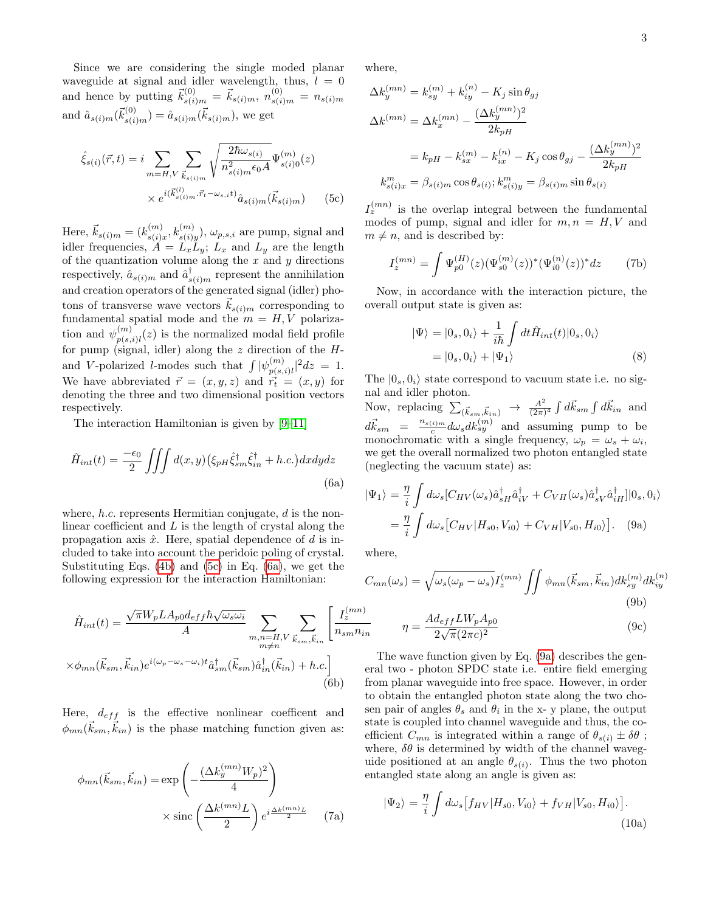Since we are considering the single moded planar waveguide at signal and idler wavelength, thus,  $l = 0$ and hence by putting  $\vec{k}_{s(i)m}^{(0)} = \vec{k}_{s(i)m}, n_{s(i)m}^{(0)} = n_{s(i)m}$ and  $\hat{a}_{s(i)m}(\vec{k}_{s(i)m}^{(0)}) = \hat{a}_{s(i)m}(\vec{k}_{s(i)m})$ , we get

$$
\hat{\xi}_{s(i)}(\vec{r},t) = i \sum_{m=H,V} \sum_{\vec{k}_{s(i)m}} \sqrt{\frac{2\hbar\omega_{s(i)}}{n_{s(i)m}^2 \epsilon_0 A}} \Psi_{s(i)0}^{(m)}(z)
$$

$$
\times e^{i(\vec{k}_{s(i)m}^{(l)} \cdot \vec{r}_t - \omega_{s,i}t)} \hat{a}_{s(i)m}(\vec{k}_{s(i)m})
$$
(5c)

Here,  $\vec{k}_{s(i) m} = (k_{s(i)}^{(m)})$  $\binom{m}{s(i)x}, k_{s(i)y}^{(m)}), \omega_{p,s,i}$  are pump, signal and idler frequencies,  $\ddot{A} = L_x L_y$ ;  $L_x$  and  $L_y$  are the length of the quantization volume along the  $x$  and  $y$  directions respectively,  $\hat{a}_{s(i)m}$  and  $\hat{a}_{s(i)m}^{\dagger}$  represent the annihilation and creation operators of the generated signal (idler) photons of transverse wave vectors  $\vec{k}_{s(i)m}$  corresponding to fundamental spatial mode and the  $m = H, V$  polarization and  $\psi_{n(s)}^{(m)}$  $p(s,i)$ <sub> $p(s,i)$ </sub> $i$  is the normalized modal field profile for pump (signal, idler) along the  $z$  direction of the  $H$ and V-polarized *l*-modes such that  $\int |\psi_{n(s)}^{(m)}|$  $|_{p(s,i)l}^{(m)}|^2 dz = 1.$ We have abbreviated  $\vec{r} = (x, y, z)$  and  $\vec{r}_t = (x, y)$  for denoting the three and two dimensional position vectors respectively.

The interaction Hamiltonian is given by [\[9](#page-6-6)[–11\]](#page-6-7)

<span id="page-2-1"></span>
$$
\hat{H}_{int}(t) = \frac{-\epsilon_0}{2} \iiint d(x, y) \left(\xi_{pH} \hat{\xi}_{sm}^{\dagger} \hat{\xi}_{in}^{\dagger} + h.c.\right) dxdydz
$$
\n(6a)

where,  $h.c.$  represents Hermitian conjugate,  $d$  is the nonlinear coefficient and  $L$  is the length of crystal along the propagation axis  $\hat{x}$ . Here, spatial dependence of d is included to take into account the peridoic poling of crystal. Substituting Eqs. [\(4b\)](#page-1-3) and [\(5c\)](#page-2-0) in Eq. [\(6a\)](#page-2-1), we get the following expression for the interaction Hamiltonian:

$$
\hat{H}_{int}(t) = \frac{\sqrt{\pi}W_pLA_{p0}d_{eff}\hbar\sqrt{\omega_s\omega_i}}{A} \sum_{\substack{m,n=H,V\\m\neq n}} \sum_{\vec{k}_{sm},\vec{k}_{in}} \left[\frac{I_z^{(mn)}}{n_{sm}n_{ii}}\right]
$$
\n
$$
\times \phi_{mn}(\vec{k}_{sm},\vec{k}_{in})e^{i(\omega_p-\omega_s-\omega_i)t}\hat{a}_{sm}^{\dagger}(\vec{k}_{sm})\hat{a}_{in}^{\dagger}(\vec{k}_{in}) + h.c.\right]
$$
\n(6b)

Here,  $d_{eff}$  is the effective nonlinear coefficent and  $\phi_{mn}(\vec{k}_{sm}, \vec{k}_{in})$  is the phase matching function given as:

$$
\phi_{mn}(\vec{k}_{sm}, \vec{k}_{in}) = \exp\left(-\frac{(\Delta k_y^{(mn)} W_p)^2}{4}\right) \times \operatorname{sinc}\left(\frac{\Delta k^{(mn)} L}{2}\right) e^{i\frac{\Delta k^{(mn)} L}{2}} \quad (7a)
$$

where,

$$
\Delta k_y^{(mn)} = k_{sy}^{(m)} + k_{iy}^{(n)} - K_j \sin \theta_{gj}
$$
  
\n
$$
\Delta k^{(mn)} = \Delta k_x^{(mn)} - \frac{(\Delta k_y^{(mn)})^2}{2k_{pH}}
$$
  
\n
$$
= k_{pH} - k_{sx}^{(m)} - k_{ix}^{(n)} - K_j \cos \theta_{gj} - \frac{(\Delta k_y^{(mn)})^2}{2k_{pH}}
$$
  
\n
$$
k_{s(i)x}^m = \beta_{s(i)m} \cos \theta_{s(i)}; k_{s(i)y}^m = \beta_{s(i)m} \sin \theta_{s(i)}
$$

<span id="page-2-0"></span> $I_z^{(mn)}$  is the overlap integral between the fundamental modes of pump, signal and idler for  $m, n = H, V$  and  $m \neq n$ , and is described by:

$$
I_z^{(mn)} = \int \Psi_{p0}^{(H)}(z) (\Psi_{s0}^{(m)}(z))^* (\Psi_{i0}^{(n)}(z))^* dz \tag{7b}
$$

Now, in accordance with the interaction picture, the overall output state is given as:

<span id="page-2-3"></span>
$$
|\Psi\rangle = |0_s, 0_i\rangle + \frac{1}{i\hbar} \int dt \hat{H}_{int}(t)|0_s, 0_i\rangle
$$
  
=  $|0_s, 0_i\rangle + |\Psi_1\rangle$  (8)

The  $|0_s, 0_i\rangle$  state correspond to vacuum state i.e. no signal and idler photon.

Now, replacing  $\sum_{(\vec{k}_{sm}, \vec{k}_{in})} \rightarrow \frac{A^2}{(2\pi)}$  $\frac{A^2}{(2\pi)^4} \int d\vec{k}_{sm} \int d\vec{k}_{in}$  and  $d\vec{k}_{sm}$  =  $\frac{n_{s(i)m}}{c}$  $\frac{c^{(i)m}}{c}d\omega_s dk^{(m)}_{sy}$  and assuming pump to be monochromatic with a single frequency,  $\omega_p = \omega_s + \omega_i$ , we get the overall normalized two photon entangled state (neglecting the vacuum state) as:

<span id="page-2-2"></span>
$$
|\Psi_1\rangle = \frac{\eta}{i} \int d\omega_s [C_{HV}(\omega_s) \hat{a}_{sH}^\dagger \hat{a}_{iV}^\dagger + C_{VH}(\omega_s) \hat{a}_{sV}^\dagger \hat{a}_{iH}^\dagger]|0_s, 0_i\rangle
$$
  
= 
$$
\frac{\eta}{i} \int d\omega_s [C_{HV}|H_{s0}, V_{i0}\rangle + C_{VH}|V_{s0}, H_{i0}\rangle].
$$
 (9a)

where,

$$
C_{mn}(\omega_s) = \sqrt{\omega_s(\omega_p - \omega_s)} I_z^{(mn)} \iint \phi_{mn}(\vec{k}_{sm}, \vec{k}_{in}) dk_{sy}^{(m)} dk_{iy}^{(n)}
$$
(9b)

$$
\eta = \frac{Ad_{eff}L W_p A_{p0}}{2\sqrt{\pi}(2\pi c)^2}
$$
\n(9c)

The wave function given by Eq. [\(9a\)](#page-2-2) describes the general two - photon SPDC state i.e. entire field emerging from planar waveguide into free space. However, in order to obtain the entangled photon state along the two chosen pair of angles  $\theta_s$  and  $\theta_i$  in the x-y plane, the output state is coupled into channel waveguide and thus, the coefficient  $C_{mn}$  is integrated within a range of  $\theta_{s(i)} \pm \delta\theta$ ; where,  $\delta\theta$  is determined by width of the channel waveguide positioned at an angle  $\theta_{s(i)}$ . Thus the two photon entangled state along an angle is given as:

$$
|\Psi_2\rangle = \frac{\eta}{i} \int d\omega_s [f_{HV}|H_{s0}, V_{i0}\rangle + f_{VH}|V_{s0}, H_{i0}\rangle].
$$
\n(10a)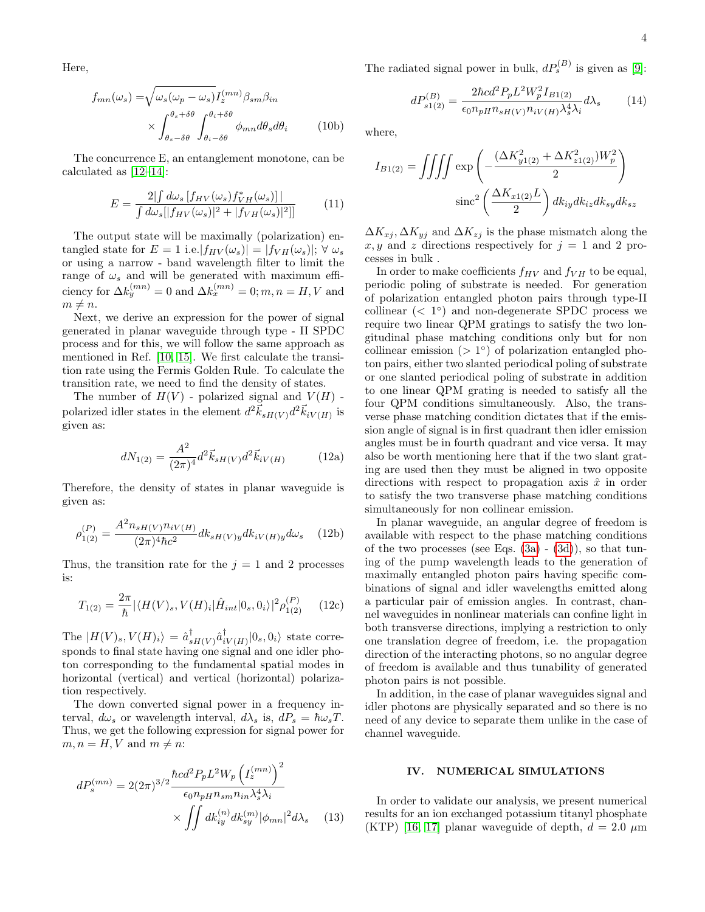Here,

$$
f_{mn}(\omega_s) = \sqrt{\omega_s(\omega_p - \omega_s)} I_z^{(mn)} \beta_{sm} \beta_{in}
$$

$$
\times \int_{\theta_s - \delta\theta}^{\theta_s + \delta\theta} \int_{\theta_i - \delta\theta}^{\theta_i + \delta\theta} \phi_{mn} d\theta_s d\theta_i \qquad (10b)
$$

The concurrence E, an entanglement monotone, can be calculated as [\[12–](#page-6-8)[14\]](#page-6-9):

$$
E = \frac{2\left|\int d\omega_s \left[f_{HV}(\omega_s)f_{VH}^*(\omega_s)\right]\right|}{\int d\omega_s[\left|f_{HV}(\omega_s)\right|^2 + \left|f_{VH}(\omega_s)\right|^2]\right]}
$$
(11)

The output state will be maximally (polarization) entangled state for  $E = 1$  i.e.  $|f_{HV}(\omega_s)| = |f_{VH}(\omega_s)|$ ;  $\forall \omega_s$ or using a narrow - band wavelength filter to limit the range of  $\omega_s$  and will be generated with maximum efficiency for  $\Delta k_y^{(mn)} = 0$  and  $\Delta k_x^{(mn)} = 0$ ;  $m, n = H, V$  and  $m \neq n$ .

Next, we derive an expression for the power of signal generated in planar waveguide through type - II SPDC process and for this, we will follow the same approach as mentioned in Ref. [\[10,](#page-6-10) [15\]](#page-7-0). We first calculate the transition rate using the Fermis Golden Rule. To calculate the transition rate, we need to find the density of states.

The number of  $H(V)$  - polarized signal and  $V(H)$  polarized idler states in the element  $d^2\vec{k}_{sH(V)}d^2\vec{k}_{iV(H)}$  is given as:

$$
dN_{1(2)} = \frac{A^2}{(2\pi)^4} d^2 \vec{k}_{sH(V)} d^2 \vec{k}_{iV(H)} \tag{12a}
$$

Therefore, the density of states in planar waveguide is given as:

$$
\rho_{1(2)}^{(P)} = \frac{A^2 n_{sH(V)} n_{iV(H)}}{(2\pi)^4 \hbar c^2} dk_{sH(V)y} dk_{iV(H)y} d\omega_s \quad (12b)
$$

Thus, the transition rate for the  $j = 1$  and 2 processes is:

$$
T_{1(2)} = \frac{2\pi}{\hbar} |\langle H(V)_s, V(H)_i | \hat{H}_{int} |0_s, 0_i \rangle|^2 \rho_{1(2)}^{(P)} \qquad (12c)
$$

The  $|H(V)_s, V(H)_i\rangle = \hat{a}_s^{\dagger}$  $_{sH(V)}^{\dagger} \hat{a}_{i}^{\dagger}$  $\prod_{iV(H)}^{\dagger} |0_s, 0_i\rangle$  state corresponds to final state having one signal and one idler photon corresponding to the fundamental spatial modes in horizontal (vertical) and vertical (horizontal) polarization respectively.

The down converted signal power in a frequency interval,  $d\omega_s$  or wavelength interval,  $d\lambda_s$  is,  $dP_s = \hbar \omega_s T$ . Thus, we get the following expression for signal power for  $m, n = H, V$  and  $m \neq n$ :

$$
dP_s^{(mn)} = 2(2\pi)^{3/2} \frac{\hbar c d^2 P_p L^2 W_p \left(I_z^{(mn)}\right)^2}{\epsilon_0 n_{pH} n_{sm} n_{in} \lambda_s^4 \lambda_i} \times \iint dk_{iy}^{(n)} dk_{sy}^{(m)} |\phi_{mn}|^2 d\lambda_s \quad (13)
$$

The radiated signal power in bulk,  $dP_s^{(B)}$  is given as [\[9\]](#page-6-6):

$$
dP_{s1(2)}^{(B)} = \frac{2\hbar c d^2 P_p L^2 W_p^2 I_{B1(2)}}{\epsilon_0 n_{pH} n_{sH(V)} n_{iV(H)} \lambda_s^4 \lambda_i} d\lambda_s \tag{14}
$$

<span id="page-3-0"></span>where,

$$
I_{B1(2)} = \iiint \exp\left(-\frac{(\Delta K_{y1(2)}^2 + \Delta K_{z1(2)}^2)W_p^2}{2}\right)
$$

$$
\operatorname{sinc}^2\left(\frac{\Delta K_{x1(2)}L}{2}\right)dk_{iy}dk_{iz}dk_{sy}dk_{sz}
$$

 $\Delta K_{xj}$ ,  $\Delta K_{yj}$  and  $\Delta K_{zj}$  is the phase mismatch along the x, y and z directions respectively for  $j = 1$  and 2 processes in bulk .

In order to make coefficients  $f_{HV}$  and  $f_{VH}$  to be equal, periodic poling of substrate is needed. For generation of polarization entangled photon pairs through type-II collinear  $( $1^{\circ}$ )$  and non-degenerate SPDC process we require two linear QPM gratings to satisfy the two longitudinal phase matching conditions only but for non collinear emission  $(1)$ <sup>o</sup>) of polarization entangled photon pairs, either two slanted periodical poling of substrate or one slanted periodical poling of substrate in addition to one linear QPM grating is needed to satisfy all the four QPM conditions simultaneously. Also, the transverse phase matching condition dictates that if the emission angle of signal is in first quadrant then idler emission angles must be in fourth quadrant and vice versa. It may also be worth mentioning here that if the two slant grating are used then they must be aligned in two opposite directions with respect to propagation axis  $\hat{x}$  in order to satisfy the two transverse phase matching conditions simultaneously for non collinear emission.

In planar waveguide, an angular degree of freedom is available with respect to the phase matching conditions of the two processes (see Eqs.  $(3a) - (3d)$  $(3a) - (3d)$  $(3a) - (3d)$ ), so that tuning of the pump wavelength leads to the generation of maximally entangled photon pairs having specific combinations of signal and idler wavelengths emitted along a particular pair of emission angles. In contrast, channel waveguides in nonlinear materials can confine light in both transverse directions, implying a restriction to only one translation degree of freedom, i.e. the propagation direction of the interacting photons, so no angular degree of freedom is available and thus tunability of generated photon pairs is not possible.

In addition, in the case of planar waveguides signal and idler photons are physically separated and so there is no need of any device to separate them unlike in the case of channel waveguide.

## <span id="page-3-1"></span>IV. NUMERICAL SIMULATIONS

In order to validate our analysis, we present numerical results for an ion exchanged potassium titanyl phosphate (KTP) [\[16,](#page-7-1) [17\]](#page-7-2) planar waveguide of depth,  $d = 2.0 \mu m$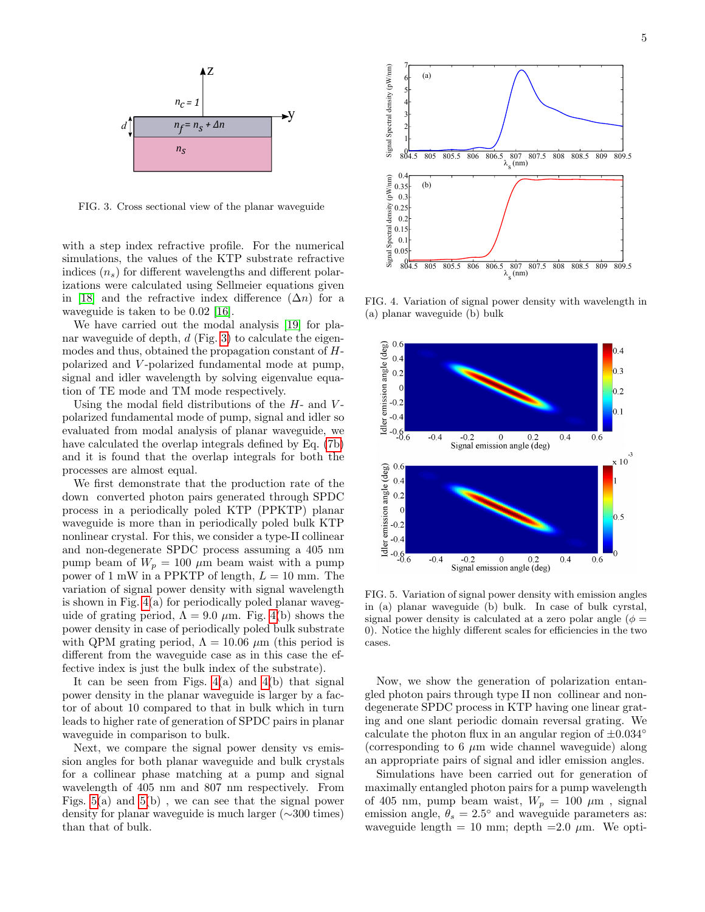

<span id="page-4-0"></span>FIG. 3. Cross sectional view of the planar waveguide

with a step index refractive profile. For the numerical simulations, the values of the KTP substrate refractive indices  $(n_s)$  for different wavelengths and different polarizations were calculated using Sellmeier equations given in [\[18\]](#page-7-3) and the refractive index difference  $(\Delta n)$  for a waveguide is taken to be 0.02 [\[16\]](#page-7-1).

We have carried out the modal analysis [\[19\]](#page-7-4) for planar waveguide of depth,  $d$  (Fig. [3\)](#page-4-0) to calculate the eigenmodes and thus, obtained the propagation constant of Hpolarized and V -polarized fundamental mode at pump, signal and idler wavelength by solving eigenvalue equation of TE mode and TM mode respectively.

Using the modal field distributions of the  $H$ - and  $V$ polarized fundamental mode of pump, signal and idler so evaluated from modal analysis of planar waveguide, we have calculated the overlap integrals defined by Eq. [\(7b\)](#page-2-3) and it is found that the overlap integrals for both the processes are almost equal.

We first demonstrate that the production rate of the down converted photon pairs generated through SPDC process in a periodically poled KTP (PPKTP) planar waveguide is more than in periodically poled bulk KTP nonlinear crystal. For this, we consider a type-II collinear and non-degenerate SPDC process assuming a 405 nm pump beam of  $W_p = 100 \mu m$  beam waist with a pump power of 1 mW in a PPKTP of length,  $L = 10$  mm. The variation of signal power density with signal wavelength is shown in Fig. [4\(](#page-4-1)a) for periodically poled planar waveguide of grating period,  $\Lambda = 9.0 \mu$ m. Fig. [4\(](#page-4-1)b) shows the power density in case of periodically poled bulk substrate with QPM grating period,  $\Lambda = 10.06 \ \mu \text{m}$  (this period is different from the waveguide case as in this case the effective index is just the bulk index of the substrate).

It can be seen from Figs.  $4(a)$  and  $4(b)$  that signal power density in the planar waveguide is larger by a factor of about 10 compared to that in bulk which in turn leads to higher rate of generation of SPDC pairs in planar waveguide in comparison to bulk.

Next, we compare the signal power density vs emission angles for both planar waveguide and bulk crystals for a collinear phase matching at a pump and signal wavelength of 405 nm and 807 nm respectively. From Figs. [5\(](#page-4-2)a) and [5\(](#page-4-2)b) , we can see that the signal power density for planar waveguide is much larger (∼300 times) than that of bulk.



<span id="page-4-1"></span>FIG. 4. Variation of signal power density with wavelength in (a) planar waveguide (b) bulk



<span id="page-4-2"></span>FIG. 5. Variation of signal power density with emission angles in (a) planar waveguide (b) bulk. In case of bulk cyrstal, signal power density is calculated at a zero polar angle ( $\phi =$ 0). Notice the highly different scales for efficiencies in the two cases.

Now, we show the generation of polarization entangled photon pairs through type II non collinear and nondegenerate SPDC process in KTP having one linear grating and one slant periodic domain reversal grating. We calculate the photon flux in an angular region of  $\pm 0.034°$ (corresponding to 6  $\mu$ m wide channel waveguide) along an appropriate pairs of signal and idler emission angles.

Simulations have been carried out for generation of maximally entangled photon pairs for a pump wavelength of 405 nm, pump beam waist,  $W_p = 100 \mu m$ , signal emission angle,  $\theta_s = 2.5^{\circ}$  and waveguide parameters as: waveguide length = 10 mm; depth = 2.0  $\mu$ m. We opti-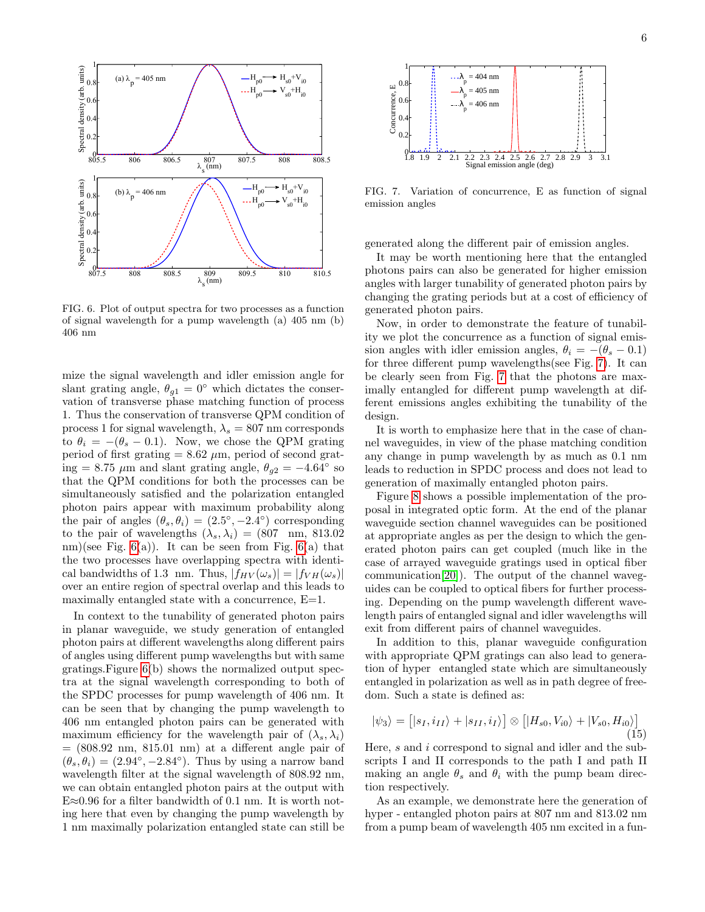

<span id="page-5-0"></span>FIG. 6. Plot of output spectra for two processes as a function of signal wavelength for a pump wavelength (a) 405 nm (b) 406 nm

mize the signal wavelength and idler emission angle for slant grating angle,  $\theta_{g1} = 0^{\circ}$  which dictates the conservation of transverse phase matching function of process 1. Thus the conservation of transverse QPM condition of process 1 for signal wavelength,  $\lambda_s = 807$  nm corresponds to  $\theta_i = -(\theta_s - 0.1)$ . Now, we chose the QPM grating period of first grating  $= 8.62 \mu m$ , period of second grating = 8.75  $\mu$ m and slant grating angle,  $\theta_{g2} = -4.64^{\circ}$  so that the QPM conditions for both the processes can be simultaneously satisfied and the polarization entangled photon pairs appear with maximum probability along the pair of angles  $(\theta_s, \theta_i) = (2.5^\circ, -2.4^\circ)$  corresponding to the pair of wavelengths  $(\lambda_s, \lambda_i) = (807 \text{ nm}, 813.02 \text{ m})$ nm)(see Fig.  $6(a)$ ). It can be seen from Fig.  $6(a)$  that the two processes have overlapping spectra with identical bandwidths of 1.3 nm. Thus,  $|f_{HV}(\omega_s)| = |f_{VH}(\omega_s)|$ over an entire region of spectral overlap and this leads to maximally entangled state with a concurrence, E=1.

In context to the tunability of generated photon pairs in planar waveguide, we study generation of entangled photon pairs at different wavelengths along different pairs of angles using different pump wavelengths but with same gratings.Figure [6\(](#page-5-0)b) shows the normalized output spectra at the signal wavelength corresponding to both of the SPDC processes for pump wavelength of 406 nm. It can be seen that by changing the pump wavelength to 406 nm entangled photon pairs can be generated with maximum efficiency for the wavelength pair of  $(\lambda_s, \lambda_i)$  $= (808.92 \text{ nm}, 815.01 \text{ nm})$  at a different angle pair of  $(\theta_s, \theta_i) = (2.94^{\circ}, -2.84^{\circ})$ . Thus by using a narrow band wavelength filter at the signal wavelength of 808.92 nm, we can obtain entangled photon pairs at the output with E≈0.96 for a filter bandwidth of 0.1 nm. It is worth noting here that even by changing the pump wavelength by 1 nm maximally polarization entangled state can still be



<span id="page-5-1"></span>FIG. 7. Variation of concurrence, E as function of signal emission angles

generated along the different pair of emission angles.

It may be worth mentioning here that the entangled photons pairs can also be generated for higher emission angles with larger tunability of generated photon pairs by changing the grating periods but at a cost of efficiency of generated photon pairs.

Now, in order to demonstrate the feature of tunability we plot the concurrence as a function of signal emission angles with idler emission angles,  $\theta_i = -(\theta_s - 0.1)$ for three different pump wavelengths(see Fig. [7\)](#page-5-1). It can be clearly seen from Fig. [7](#page-5-1) that the photons are maximally entangled for different pump wavelength at different emissions angles exhibiting the tunability of the design.

It is worth to emphasize here that in the case of channel waveguides, in view of the phase matching condition any change in pump wavelength by as much as 0.1 nm leads to reduction in SPDC process and does not lead to generation of maximally entangled photon pairs.

Figure [8](#page-6-11) shows a possible implementation of the proposal in integrated optic form. At the end of the planar waveguide section channel waveguides can be positioned at appropriate angles as per the design to which the generated photon pairs can get coupled (much like in the case of arrayed waveguide gratings used in optical fiber communication[\[20\]](#page-7-5)). The output of the channel waveguides can be coupled to optical fibers for further processing. Depending on the pump wavelength different wavelength pairs of entangled signal and idler wavelengths will exit from different pairs of channel waveguides.

In addition to this, planar waveguide configuration with appropriate QPM gratings can also lead to generation of hyper entangled state which are simultaneously entangled in polarization as well as in path degree of freedom. Such a state is defined as:

<span id="page-5-2"></span>
$$
|\psi_3\rangle = \left[|s_I, i_{II}\rangle + |s_{II}, i_I\rangle\right] \otimes \left[|H_{s0}, V_{i0}\rangle + |V_{s0}, H_{i0}\rangle\right]
$$
\n(15)

Here, s and i correspond to signal and idler and the subscripts I and II corresponds to the path I and path II making an angle  $\theta_s$  and  $\theta_i$  with the pump beam direction respectively.

As an example, we demonstrate here the generation of hyper - entangled photon pairs at 807 nm and 813.02 nm from a pump beam of wavelength 405 nm excited in a fun-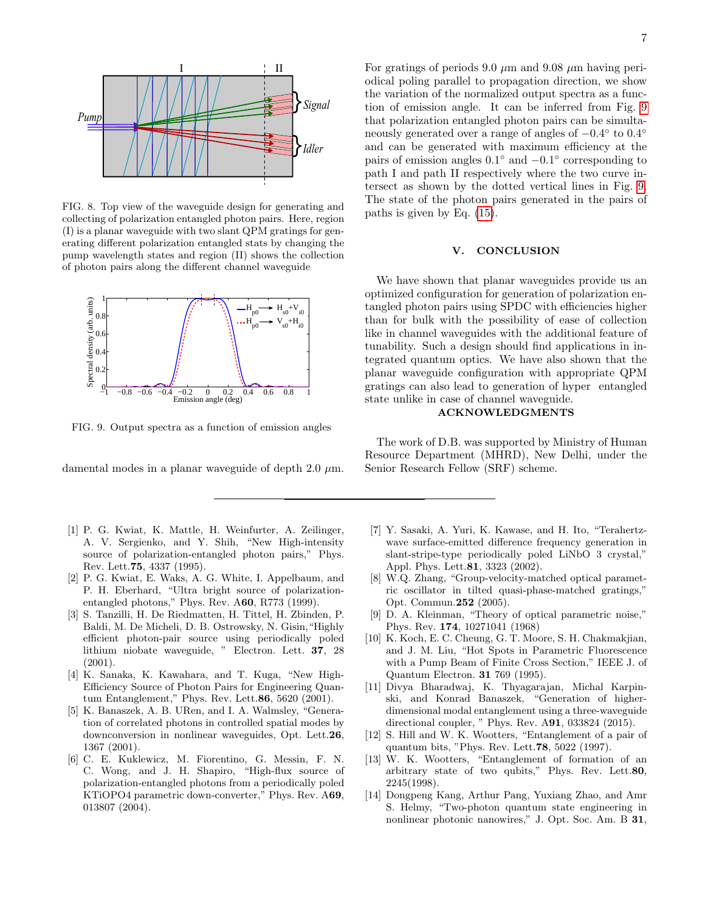

<span id="page-6-11"></span>FIG. 8. Top view of the waveguide design for generating and collecting of polarization entangled photon pairs. Here, region (I) is a planar waveguide with two slant QPM gratings for generating different polarization entangled stats by changing the pump wavelength states and region (II) shows the collection of photon pairs along the different channel waveguide



<span id="page-6-12"></span>FIG. 9. Output spectra as a function of emission angles

damental modes in a planar waveguide of depth 2.0  $\mu$ m.

- <span id="page-6-0"></span>[1] P. G. Kwiat, K. Mattle, H. Weinfurter, A. Zeilinger, A. V. Sergienko, and Y. Shih, "New High-intensity source of polarization-entangled photon pairs," Phys. Rev. Lett.75, 4337 (1995).
- <span id="page-6-1"></span>[2] P. G. Kwiat, E. Waks, A. G. White, I. Appelbaum, and P. H. Eberhard, "Ultra bright source of polarizationentangled photons," Phys. Rev. A60, R773 (1999).
- <span id="page-6-2"></span>[3] S. Tanzilli, H. De Riedmatten, H. Tittel, H. Zbinden, P. Baldi, M. De Micheli, D. B. Ostrowsky, N. Gisin,"Highly efficient photon-pair source using periodically poled lithium niobate waveguide, " Electron. Lett. 37, 28 (2001).
- [4] K. Sanaka, K. Kawahara, and T. Kuga, "New High-Efficiency Source of Photon Pairs for Engineering Quantum Entanglement," Phys. Rev. Lett.86, 5620 (2001).
- [5] K. Banaszek, A. B. URen, and I. A. Walmsley, "Generation of correlated photons in controlled spatial modes by downconversion in nonlinear waveguides, Opt. Lett.26, 1367 (2001).
- <span id="page-6-3"></span>[6] C. E. Kuklewicz, M. Fiorentino, G. Messin, F. N. C. Wong, and J. H. Shapiro, "High-flux source of polarization-entangled photons from a periodically poled KTiOPO4 parametric down-converter," Phys. Rev. A69, 013807 (2004).

For gratings of periods 9.0  $\mu$ m and 9.08  $\mu$ m having periodical poling parallel to propagation direction, we show the variation of the normalized output spectra as a function of emission angle. It can be inferred from Fig. [9](#page-6-12) that polarization entangled photon pairs can be simultaneously generated over a range of angles of  $-0.4^{\circ}$  to  $0.4^{\circ}$ and can be generated with maximum efficiency at the pairs of emission angles  $0.1^{\circ}$  and  $-0.1^{\circ}$  corresponding to path I and path II respectively where the two curve intersect as shown by the dotted vertical lines in Fig. [9.](#page-6-12) The state of the photon pairs generated in the pairs of paths is given by Eq. [\(15\)](#page-5-2).

#### V. CONCLUSION

We have shown that planar waveguides provide us an optimized configuration for generation of polarization entangled photon pairs using SPDC with efficiencies higher than for bulk with the possibility of ease of collection like in channel waveguides with the additional feature of tunability. Such a design should find applications in integrated quantum optics. We have also shown that the planar waveguide configuration with appropriate QPM gratings can also lead to generation of hyper entangled state unlike in case of channel waveguide.

#### ACKNOWLEDGMENTS

The work of D.B. was supported by Ministry of Human Resource Department (MHRD), New Delhi, under the Senior Research Fellow (SRF) scheme.

- <span id="page-6-4"></span>[7] Y. Sasaki, A. Yuri, K. Kawase, and H. Ito, "Terahertzwave surface-emitted difference frequency generation in slant-stripe-type periodically poled LiNbO 3 crystal," Appl. Phys. Lett.81, 3323 (2002).
- <span id="page-6-5"></span>[8] W.Q. Zhang, "Group-velocity-matched optical parametric oscillator in tilted quasi-phase-matched gratings," Opt. Commun.252 (2005).
- <span id="page-6-6"></span>[9] D. A. Kleinman, "Theory of optical parametric noise," Phys. Rev. 174, 10271041 (1968)
- <span id="page-6-10"></span>[10] K. Koch, E. C. Cheung, G. T. Moore, S. H. Chakmakjian, and J. M. Liu, "Hot Spots in Parametric Fluorescence with a Pump Beam of Finite Cross Section," IEEE J. of Quantum Electron. 31 769 (1995).
- <span id="page-6-7"></span>[11] Divya Bharadwaj, K. Thyagarajan, Michal Karpinski, and Konrad Banaszek, "Generation of higherdimensional modal entanglement using a three-waveguide directional coupler, " Phys. Rev. A91, 033824 (2015).
- <span id="page-6-8"></span>[12] S. Hill and W. K. Wootters, "Entanglement of a pair of quantum bits, "Phys. Rev. Lett.78, 5022 (1997).
- [13] W. K. Wootters, "Entanglement of formation of an arbitrary state of two qubits," Phys. Rev. Lett.80, 2245(1998).
- <span id="page-6-9"></span>[14] Dongpeng Kang, Arthur Pang, Yuxiang Zhao, and Amr S. Helmy, "Two-photon quantum state engineering in nonlinear photonic nanowires," J. Opt. Soc. Am. B 31,